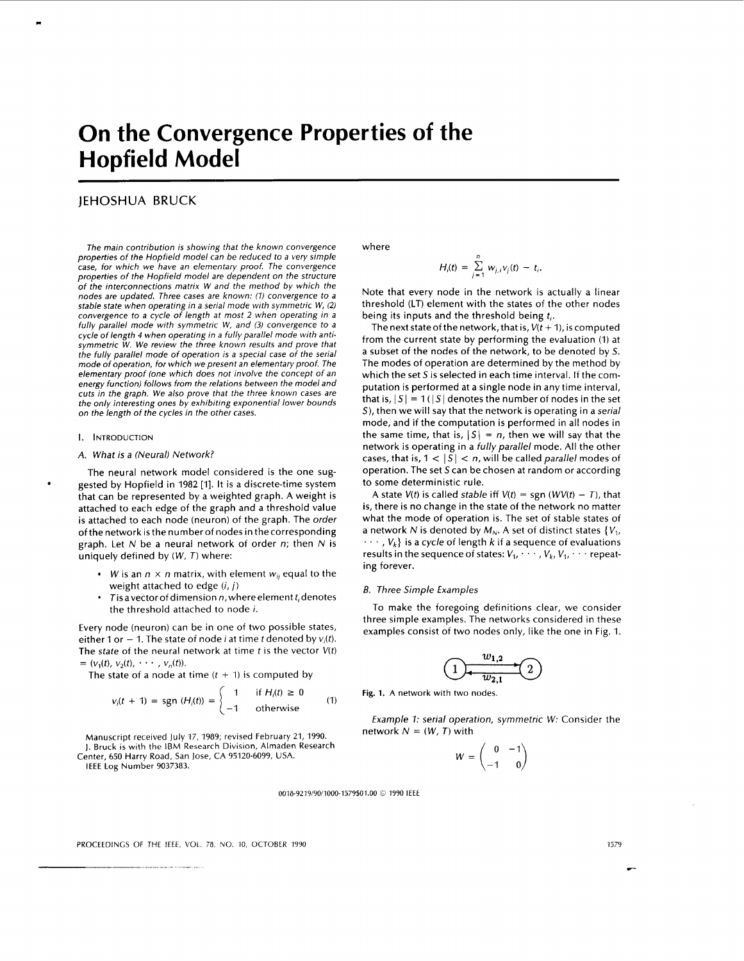# **On the Convergence Properties of the Hopfield Model**

# JEHOSHUA BRUCK

*The main contribution is showing that the known convergence properties of the Hopfield model can be reduced to a very simple case, for which we have an elementary proof. The convergence properties of the Hopfield model are dependent on the structure of the interconnections matrix W and the method by which the nodes are updated. Three cases are known: (1) convergence to a stable state when operating in a serial mode with symmetric W, (2) convergence to a cycle of length at most 2 when operating in a fully parallel mode with symmetric W, and (3) convergence to a cycle of length 4 when operating in a fully parallel mode with antisymmetric W. We review the three known results and prove that the fully parallel mode of operation is a special case of the serial mode* **of** *operation, for which we present an elementary proof. The elementary proof (one which does not involve the concept of an energy function) follows from the relations between the model and cuts in the graph. We also prove that the three known cases are the only interesting ones by exhibiting exponential lower bounds on the length of the cycles in the other cases.* 

### I. INTRODUCTION

## *A. What* is *a* (Neural) Network?

The neural network model considered is the one suggested by Hopfield in 1982 [I]. It is a discrete-time system that can be represented by a weighted graph. **A** weight is attached to each edge of the graph and a threshold value is attached to each node (neuron) of the graph. The order of the network is the number of nodes in the corresponding graph. Let  $N$  be a neural network of order  $n$ ; then  $N$  is uniquely defined by *(W, T)* where:

- **W** is an  $n \times n$  matrix, with element  $w_{ij}$  equal to the weight attached to edge *(i, j)*
- T is a vector of dimension  $n$ , where element  $t_i$  denotes the threshold attached to node i.

Every node (neuron) can be in one of two possible states, either 1 or  $-1$ . The state of node *i* at time *t* denoted by  $v_i(t)$ . The state of the neural network at time *t* is the vector *Ut)*   $= (v_1(t), v_2(t), \cdots, v_n(t)).$ 

The state of a node at time  $(t + 1)$  is computed by

$$
v_i(t + 1) = \text{sgn} \ (H_i(t)) = \begin{cases} 1 & \text{if } H_i(t) \ge 0 \\ -1 & \text{otherwise} \end{cases} \tag{1}
$$

*Manuscript received July 17, 1989; revised February 21, 1990.*  J. *Bruck* **is** *with the IBM Research Division, Almaden Research Center, 650 Harry Road,* San *Jose, CA 95120-6099,* **USA.** 

**IEEE Log** *Number 9037383.* 

where

$$
H_i(t) = \sum_{j=1}^n w_{j,i} v_j(t) - t_i.
$$

Note that every node in the network is actually a linear threshold (LT) element with the states of the other nodes being its inputs and the threshold being *t,.* 

The next state of the network, that is,  $V(t + 1)$ , is computed from the current state by performing the evaluation **(1)** at a subset of the nodes of the network, to be denoted by *S.*  The modes of operation are determined by the method by which the set S is selected in each time interval. If the computation is performed at a single node in any time interval, that is,  $|S| = 1 (|S|$  denotes the number of nodes in the set S), then we will say that the network is operating in a serial mode, and if the computation is performed in all nodes in the same time, that is,  $|S| = n$ , then we will say that the network is operating in a fully parallel mode. **All** the other cases, that is,  $1 < |\overline{S}| < n$ , will be called *parallel* modes of operation. The set Scan be chosen at random or according to some deterministic rule.

A state  $V(t)$  is called *stable* iff  $V(t) = \text{sgn}(WV(t) - T)$ , that is, there is no change in the state of the network no matter what the mode of operation is. The set of stable states of a network N is denoted by  $M_N$ . A set of distinct states  $\{V_1, V_2\}$  $\cdots$ ,  $V_k$  is a cycle of length k if a sequence of evaluations results in the sequence of states:  $V_1, \cdots, V_k, V_1, \cdots$  repeating forever.

#### *B.* Three Simple Examples

To make the foregoing definitions clear, we consider three simple examples. The networks considered in these examples consist of two nodes only, like the one in Fig. 1.

$$
\bigcup_{w_{1,1}} \overbrace{w_{2,1}}^{w_{1,2}} \bigg(2\bigg)
$$

**Fig. 1. A** *network with two* nodes.

Example *I:* serial operation, symmetric *W:* Consider the network  $N = (W, T)$  with

$$
W = \begin{pmatrix} 0 & -1 \\ -1 & 0 \end{pmatrix}
$$

*0018-9219/90/1000-1579\$01.00 0* <sup>1990</sup>IEEE

PROCEEDINGS *OF* THE IEEE. VOL. 78, *NO.* 10, OCTOBER 1990 1579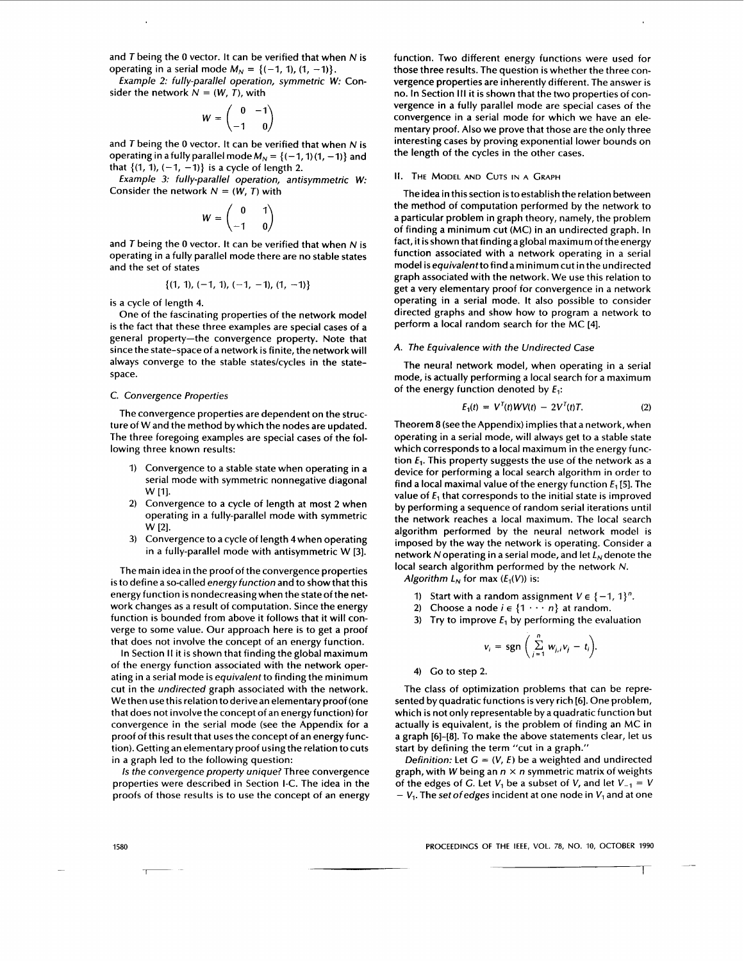and  $T$  being the 0 vector. It can be verified that when  $N$  is operating in a serial mode  $M_N = \{(-1, 1), (1, -1)\}.$ 

Example *2:* fully-parallel operation, symmetric W: Consider the network  $N = (W, T)$ , with

$$
W = \begin{pmatrix} 0 & -1 \\ -1 & 0 \end{pmatrix}
$$

and  $T$  being the 0 vector. It can be verified that when  $N$  is operating in a fully parallel mode  $M_N = \{(-1, 1), (1, -1)\}$  and that  $\{(1, 1), (-1, -1)\}$  is a cycle of length 2.

Example *3:* fully-parallel operation, antisymmetric W: Consider the network  $N = (W, T)$  with

$$
W = \begin{pmatrix} 0 & 1 \\ -1 & 0 \end{pmatrix}
$$

and T being the **0** vector. It can be verified that when N is operating in a fully parallel mode there are no stable states and the set of states

$$
\{(1, 1), (-1, 1), (-1, -1), (1, -1)\}
$$

is a cycle of length 4.

One of the fascinating properties of the network model is the fact that these three examples are special cases of a general property-the convergence property. Note that since the state-space of a network is finite, the network will always converge to the stable stateslcycles in the statespace.

## C. Convergence Properties

The convergence properties are dependent on the structure of W and the method by which the nodes are updated. The three foregoing examples are special cases of the following three known results:

- 1) Convergence to a stable state when operating in a serial mode with symmetric nonnegative diagonal W [1].
- *2)* Convergence to a cycle of length at most 2 when operating in a fully-parallel mode with symmetric W [2].
- 3) Convergence to a cycle of length 4 when operating in a fully-parallel mode with antisymmetric W [3].

The main idea in the proof of the convergence properties is to define a so-called energy function and to show that this energy function is nondecreasing when the state of the network changes as a result of computation. Since the energy function is bounded from above it follows that it will converge to some value. Our approach here is to get a proof that does not involve the concept of an energy function.

In Section **II** it is shown that finding the global maximum of the energy function associated with the network operating in a serial mode is equivalent to finding the minimum cut in the undirected graph associated with the network. Wethen use this relation toderivean elementary proof (one that does not involve the concept of an energy function) for convergence in the serial mode (see the Appendix for a proof of this result that uses the concept of an energy function). Getting an elementary proof using the relation tocuts in a graph led to the following question:

Is the convergence property unique? Three convergence properties were described in Section I-C. The idea in the proofs of those results is to use the concept of an energy function. Two different energy functions were used for those three results. The question is whether the three convergence properties are inherently different. The answer is no. In Section **Ill** it is shown that the two properties of convergence in a fully parallel mode are special cases of the convergence in a serial mode for which we have an elementary proof. Also we prove that those are the only three interesting cases by proving exponential lower bounds on the length of the cycles in the other cases.

### II. THE MODEL **AND** CUTS IN **A GRAPH**

The idea in this section is to establish the relation between the method of computation performed by the network to a particular problem in graph theory, namely, the problem of finding a minimum cut (MC) in an undirected graph. In fact, it is shown that finding a global maximum of the energy function associated with a network operating in a serial model is equivalent to find a minimum cut in the undirected graph associated with the network. We use this relation to get a very elementary proof for convergence in a network operating in a serial mode. It also possible to consider directed graphs and show how to program a network to perform a local random search for the MC **[4].** 

#### A. The Equivalence with the Undirected Case

The neural network model, when operating in a serial mode, is actually performing a local search for a maximum of the energy function denoted by  $E_1$ :

$$
E_1(t) = V^{T}(t)WV(t) - 2V^{T}(t)T.
$$
 (2)

Theorem 8 (see the Appendix) implies that a network, when operating in a serial mode, will always get to a stable state which corresponds to a local maximum in the energy function  $E_1$ . This property suggests the use of the network as a device for performing a local search algorithm in order to find a local maximal value of the energy function  $E_1$  [5]. The value of  $E_1$  that corresponds to the initial state is improved by performing a sequence of random serial iterations until the network reaches a local maximum. The local search algorithm performed by the neural network model is imposed by the way the network is operating. Consider a network N operating in a serial mode, and let  $L<sub>N</sub>$  denote the local search algorithm performed by the network *N.* 

*Algorithm*  $L_N$  *for max*  $(E_1(V))$  *is:* 

- 1) Start with a random assignment  $V \in \{-1, 1\}^n$ .
- 2) Choose a node  $i \in \{1 \cdots n\}$  at random.
- 3) Try to improve  $E_1$  by performing the evaluation

$$
v_i = \operatorname{sgn}\bigg(\sum_{j=1}^n w_{j,i}v_j - t_i\bigg).
$$

4) Go to step 2.

The class of optimization problems that can be represented by quadratic functions is very rich [6]. One problem, which is not only representable by a quadratic function but actually is equivalent, is the problem of finding an MC in a graph [6]-[8]. To make the above statements clear, let us start by defining the term "cut in a graph."

Definition: Let  $G = (V, E)$  be a weighted and undirected graph, with W being an *n* x *n* symmetric matrix of weights of the edges of *G*. Let  $V_1$  be a subset of *V*, and let  $V_{-1} = V$  $-V_1$ . The set of edges incident at one node in  $V_1$  and at one

**PROCEEDINGS OF THE IEEE, VOL. 78,** NO. **IO, OCTOBER 1990**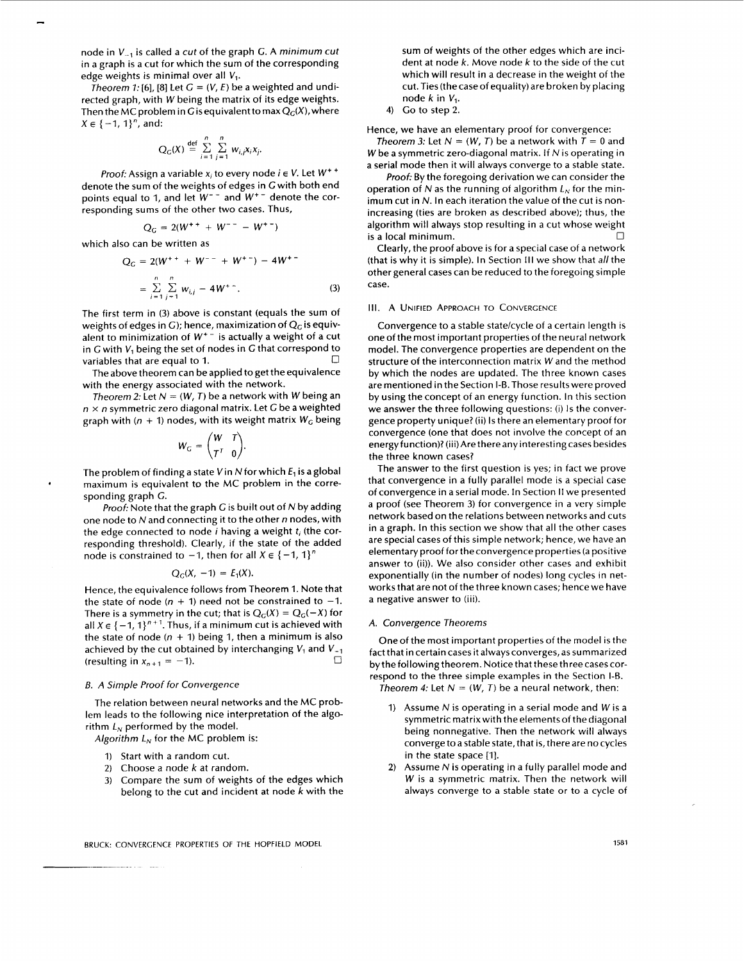node in  $V_{-1}$  is called a cut of the graph G. A minimum cut in a graph is a cut for which the sum of the corresponding edge weights is minimal over all  $V_1$ .

Theorem 1: [6], [8] Let  $G = (V, E)$  be a weighted and undirected graph, with W being the matrix of its edge weights. Then the MC problem in G is equivalent to max  $Q_G(X)$ , where  $X \in \{-1, 1\}^n$ , and:

$$
Q_{C}(X) \stackrel{\text{def}}{=} \sum_{i=1}^{n} \sum_{j=1}^{n} w_{i,j} x_{i} x_{j}.
$$

Proof: Assign a variable  $x_i$  to every node  $i \in V$ . Let  $W^{++}$ denote the sum of the weights of edges in G with both end points equal to 1, and let  $W^{-}$  and  $W^{+}$  denote the corresponding sums of the other two cases. Thus,

$$
Q_G = 2(W^{++} + W^{--} - W^{+-})
$$

which also can be written as

$$
Q_C = 2(W^{++} + W^{--} + W^{+-}) - 4W^{+-}
$$
  
= 
$$
\sum_{i=1}^{n} \sum_{j=1}^{n} w_{i,j} - 4W^{+-}.
$$
 (3)

The first term in **(3)** above is constant (equals the sum of weights of edges in *G*); hence, maximization of  $Q_G$  is equivalent to minimization of  $W^{+-}$  is actually a weight of a cut in G with V<sub>1</sub> being the set of nodes in G that correspond to *0*  variables that are equal to 1.

The above theorem can be applied to get the equivalence with the energy associated with the network.

Theorem 2: Let  $N = (W, T)$  be a network with W being an *n* x *n* symmetric zero diagonal matrix. Let *C* be a weighted graph with  $(n + 1)$  nodes, with its weight matrix  $W_c$  being

$$
W_G = \begin{pmatrix} W & T \\ T^T & 0 \end{pmatrix}.
$$

The problem of finding a state Vin Nfor which *E,* is a global maximum is equivalent to the MC problem in the corresponding graph *C.* 

Proof: Note that the graph *G* is built out of *N* by adding one node to *N* and connecting it to the other *n* nodes, with the edge connected to node  $i$  having a weight  $t_i$  (the corresponding threshold). Clearly, if the state of the added node is constrained to  $-1$ , then for all  $X \in \{-1, 1\}^n$ 

$$
Q_G(X, -1) = E_1(X).
$$

Hence, the equivalence follows from Theorem 1. Note that the state of node  $(n + 1)$  need not be constrained to  $-1$ . There is a symmetry in the cut; that is  $Q_G(X) = Q_G(-X)$  for all  $X \in \{-1, 1\}^{n+1}$ . Thus, if a minimum cut is achieved with the state of node  $(n + 1)$  being 1, then a minimum is also achieved by the cut obtained by interchanging  $V_1$  and  $V_{-1}$ (resulting in  $x_{n+1} = -1$ ).

#### *B. A* Simple Proof for Convergence

The relation between neural networks and the MC problem leads to the following nice interpretation of the algorithm  $L_N$  performed by the model.

Algorithm  $L<sub>N</sub>$  for the MC problem is:

1) Start with a random cut.

ومرادات والمستقط

- 2) Choose a node *k* at random.
- *3)* Compare the sum of weights of the edges which belong to the cut and incident at node *k* with the

sum of weights of the other edges which are incident at node *k.* Move node *k* to the side of the cut which will result in a decrease in the weight of the cut. Ties (the case of equality) are broken by placing node  $k$  in  $V_1$ .

**4)** Go to step 2.

Hence, we have an elementary proof for convergence:

*Theorem 3:* Let  $N = (W, T)$  be a network with  $T = 0$  and *W* be a symmetric zero-diagonal matrix. If *N* is operating in a serial mode then it will always converge to a stable state.

*Proof:* By the foregoing derivation we can consider the operation of *N* as the running of algorithm  $L<sub>N</sub>$  for the minimum cut in *N.* In each iteration the value of the cut is nonincreasing (ties are broken as described above); thus, the algorithm will always stop resulting in a cut whose weight is a local minimum. *0* 

Clearly, the proof above is for a special case of a network (that is why it is simple). In Section Ill we show that all the other general cases can be reduced to the foregoing simple case.

# **Ill.** A **UNIFIED** APPROACH **TO** CONVERGENCE

Convergence to a stable state/cycle of a certain length is one of the most important properties of the neural network model. The convergence properties are dependent on the structure **of** the interconnection matrix Wand the method by which the nodes are updated. The three known cases are mentioned in the Section **1-6.** Those results were proved by using the concept of an energy function. In this section we answer the three following questions: (i) Is the convergence property unique? (ii) Is there an elementary proof for convergence (one that does not involve the concept of an energyfunction)? (iii) Are there any interesting cases besides the three known cases?

The answer to the first question is yes; in fact we prove that convergence in a fully parallel mode is a special case of convergence in a serial mode. In Section II we presented a proof (see Theorem 3) for convergence in a very simple network based on the relations between networks and cuts in a graph. In this section we show that all the other cases are special cases of this simple network; hence, we have an elementary proof for theconvergence properties (a positive answer to (ii)). We also consider other cases and exhibit exponentially (in the number of nodes) long cycles in networks that are not of the three known cases; hence we have a negative answer to (iii).

#### *A.* Convergence Theorems

One of the most important properties of the model is the fact that in certain cases it alwaysconverges, as summarized bythe following theorem. Notice that these threecasescorrespond to the three simple examples in the Section I-B. Theorem 4: Let  $N = (W, T)$  be a neural network, then:

- Assume *N* is operating in a serial mode and W is a symmetric matrix with the elements of the diagonal being nonnegative. Then the network will always converge to a stable state, that is, there are no cycles in the state space [I].
- Assume *N* is operating in a fully parallel mode and  $2)$ W is a symmetric matrix. Then the network will always converge to a stable state or to a cycle of

BRUCK: CONVERGENCE PROPERTIES OF THE HOPFIELD MODEL **1581** 1581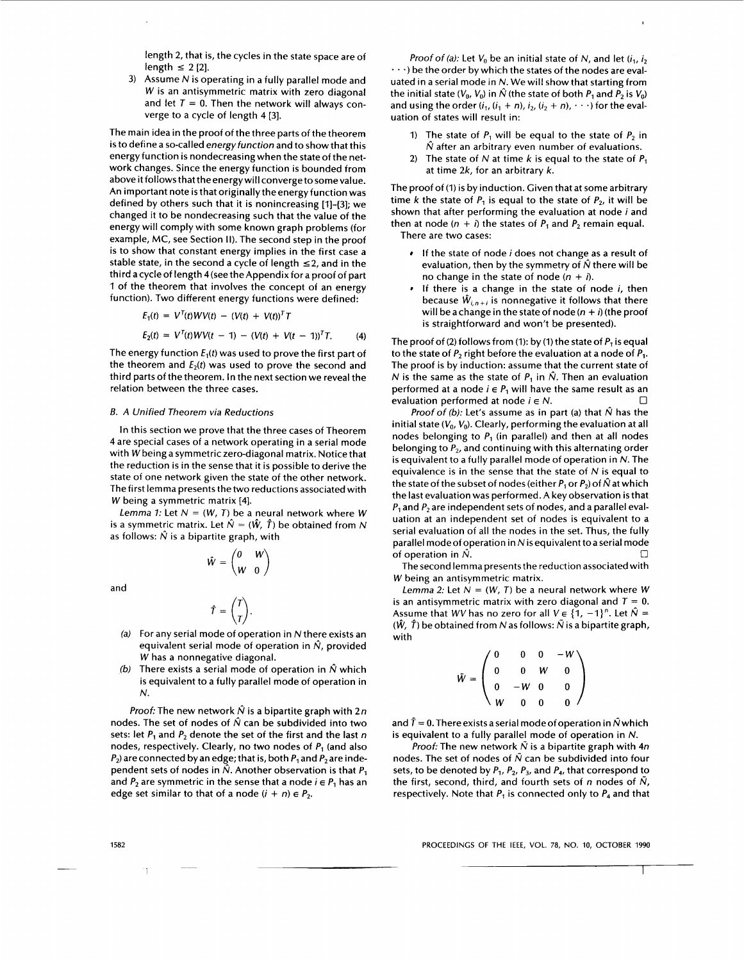length 2, that is, the cycles in the state space are of length 2, that is<br>|ength ≤ 2 [2].<br><del>Assume</del> N is on

3) Assume N is operating in a fully parallel mode and W is an antisymmetric matrix with zero diagonal and let  $T = 0$ . Then the network will always converge to a cycle of length 4 [3].

The main idea in the proof of the three parts of the theorem is to define a so-called energy function and to show that this energy function is nondecreasing when the state of the network changes. Since the energy function is bounded from above itfollows **thattheenergywillconvergetosomevalue.**  An important note is that originally the energy function was defined by others such that it is nonincreasing [I]-[3]; we changed it to be nondecreasing such that the value of the energy will comply with some known graph problems (for example, MC, see Section **11).** The second step in the proof is to show that constant energy implies in the first case a stable state, in the second a cycle of length  $\leq 2$ , and in the thirdacycleof **length4(seetheAppendixforaproof** of part 1 of the theorem that involves the concept of an energy function). Two different energy functions were defined:

$$
E_1(t) = V^T(t)WV(t) - (V(t) + V(t))^T T
$$
  
\n
$$
E_2(t) = V^T(t)WV(t-1) - (V(t) + V(t-1))^T T.
$$
 (4)

The energy function  $E_1(t)$  was used to prove the first part of the theorem and  $E_2(t)$  was used to prove the second and third parts of the theorem. In the next section we reveal the relation between the three cases.

# *B.* A Unified Theorem via Reductions

In this section we prove that the three cases of Theorem 4 are special cases of a network operating in a serial mode with W being a symmetric zero-diagonal matrix. Notice that the reduction is in the sense that it is possible to derive the state of one network given the state of the other network. The first lemma presents the two reductions associated with W being a symmetric matrix **[4].** 

Lemma 1: Let  $N = (W, T)$  be a neural network where W is a symmetric matrix. Let  $\hat{N} = (\hat{W}, \hat{T})$  be obtained from N as follows:  $N$  is a bipartite graph, with  $\hat{w} = \begin{pmatrix} 0 & W \end{pmatrix}$ 

$$
\hat{W} = \begin{pmatrix} 0 & W \\ W & 0 \end{pmatrix}
$$

and

$$
\hat{T} = \binom{T}{T}.
$$

- (a) For any serial mode of operation in  $N$  there exists an equivalent serial mode of operation in  $\ddot{N}$ , provided W has a nonnegative diagonal.
- (b) There exists a serial mode of operation in  $\hat{N}$  which is equivalent to a fully parallel mode of operation in *N.*

Proof: The new network *fi* is a bipartite graph with *2n*  nodes. The set of nodes of *A* can be subdivided into two sets: let  $P_1$  and  $P_2$  denote the set of the first and the last *n* nodes, respectively. Clearly, no two nodes of  $P_1$  (and also  $P_2$ ) are connected by an edge; that is, both  $P_1$  and  $P_2$  are independent sets of nodes in  $\hat{N}$ . Another observation is that  $P_1$ and  $P_2$  are symmetric in the sense that a node  $i \in P_1$  has an edge set similar to that of a node  $(i + n) \in P_2$ .

*Proof of (a):* Let  $V_0$  be an initial state of N, and let  $(i_1, i_2)$  $\cdots$ ) be the order by which the states of the nodes are evaluated in a serial mode in *N.* We will show that starting from the initial state  $(V_0, V_0)$  in  $\hat{N}$  (the state of both  $P_1$  and  $\hat{P_2}$  is  $V_0$ ) and using the order  $(i_1, (i_1 + n), i_2, (i_2 + n), \cdots)$  for the evaluation of states will result in:

1) The state of  $P_1$  will be equal to the state of  $P_2$  in  $\hat{N}$  after an arbitrary even number of evaluations.

I

2) The state of N at time  $k$  is equal to the state of  $P_1$ at time *2k,* for an arbitrary *k.* 

The proof of (1) is by induction. Given that at some arbitrary time k the state of  $P_1$  is equal to the state of  $P_2$ , it will be shown that after performing the evaluation at node i and then at node  $(n + i)$  the states of  $P_1$  and  $P_2$  remain equal. There are two cases:

- If the state of node **i** does not change as a result of evaluation, then by the symmetry of  $\hat{N}$  there will be no change in the state of node  $(n + i)$ .
- If there is a change in the state of node  $i$ , then because  $\hat{W}_{i,n+i}$  is nonnegative it follows that there will be a change in the state of node  $(n + i)$  (the proof is straightforward and won't be presented).

The proof of (2) follows from (1): by (1) the state of  $P_1$  is equal to the state of  $P_2$  right before the evaluation at a node of  $P_1$ . The proof is by induction: assume that the current state of N is the same as the state of  $P_1$  in  $\hat{N}$ . Then an evaluation performed at a node  $i \in P_1$  will have the same result as an *0*  evaluation performed at node  $i \in N$ .

*Proof of (b):* Let's assume as in part (a) that  $\hat{N}$  has the initial state  $(V_0, V_0)$ . Clearly, performing the evaluation at all nodes belonging to  $P_1$  (in parallel) and then at all nodes belonging to  $P_2$ , and continuing with this alternating order is equivalent to a fully parallel mode of operation in *N.* The equivalence is in the sense that the state of  $N$  is equal to the state of the subset of nodes (either  $P_1$  or  $P_2$ ) of  $\hat{N}$  at which the last evaluation was performed. A key observation is that  $P_1$  and  $P_2$  are independent sets of nodes, and a parallel evaluation at an independent set of nodes is equivalent to a serial evaluation of all the nodes in the set. Thus, the fully parallel modeofoperation in N isequivalenttoaserial mode of operation in A. *0* 

The second lemma presents the reduction associated with W being an antisymmetric matrix.

Lemma 2: Let  $N = (W, T)$  be a neural network where W is an antisymmetric matrix with zero diagonal and  $T = 0$ . Assume that WV has no zero for all  $V \in \{1, -1\}^n$ . Let  $\hat{N} =$  $(\hat{W}, \hat{T})$  be obtained from N as follows:  $\tilde{N}$  is a bipartite graph, with

$$
\tilde{W} = \begin{pmatrix}\n0 & 0 & 0 & -W \\
0 & 0 & W & 0 \\
0 & -W & 0 & 0 \\
W & 0 & 0 & 0\n\end{pmatrix}
$$

and  $\bar{T}= 0$ . There exists a serial mode of operation in  $\bar{N}$  which is equivalent to a fully parallel mode of operation in *N.* 

*Proof:* The new network  $\tilde{N}$  is a bipartite graph with 4n nodes. The set of nodes of  $\tilde{N}$  can be subdivided into four sets, to be denoted by  $P_1$ ,  $P_2$ ,  $P_3$ , and  $P_4$ , that correspond to the first, second, third, and fourth sets of  $n$  nodes of  $\tilde{N}$ , respectively. Note that  $P_1$  is connected only to  $P_4$  and that

**PROCEEDINGS OF THE IEEE, VOL. 78,** NO. **10, OCTOBER 1990**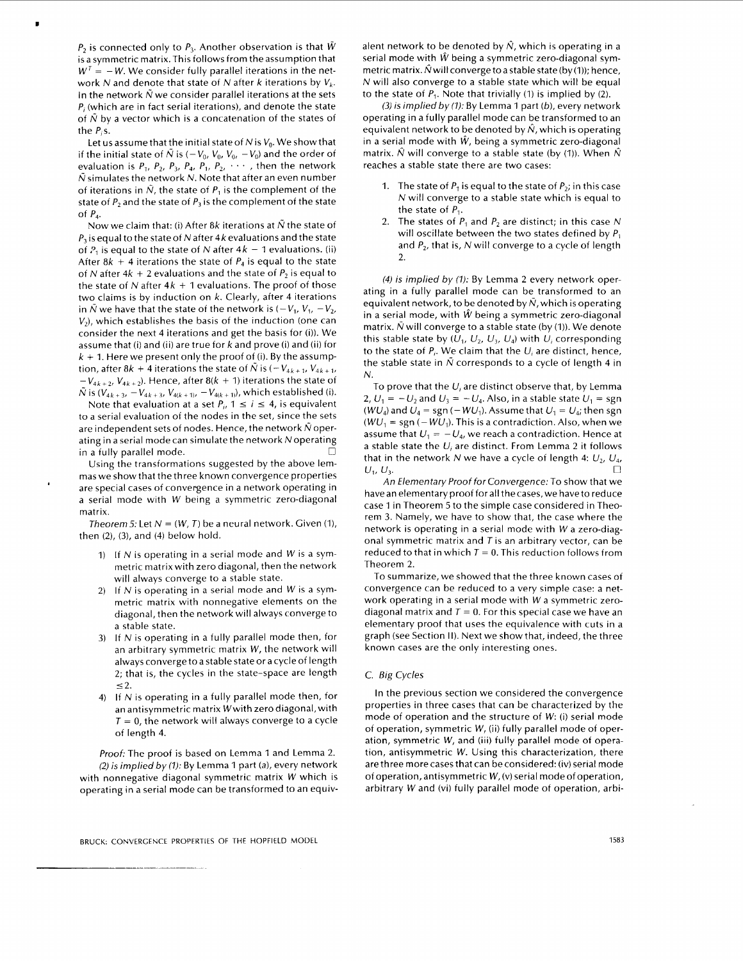*P*<sub>2</sub> is connected only to  $P_3$ . Another observation is that  $\tilde{W}$ is a symmetric matrix. This follows from the assumption that  $W<sup>T</sup> = -W$ . We consider fully parallel iterations in the network Nand denote that state of N after **k** iterations by *Vk.*  In the network  $\tilde{N}$  we consider parallel iterations at the sets *P,* (which are in fact serial iterations), and denote the state of *fl* by a vector which is a concatenation of the states of the  $P_i$ s.

**L** 

Let us assume that the initial state of  $N$  is  $V_0$ . We show that if the initial state of  $\tilde{N}$  is ( $-V_0$ ,  $V_0$ ,  $V_0$ ,  $-V_0$ ) and the order of evaluation is  $P_1$ ,  $P_2$ ,  $P_3$ ,  $P_4$ ,  $P_1$ ,  $P_2$ ,  $\cdots$ , then the network *N* simulates the network N. Note that after an even number of iterations in  $\tilde{N}$ , the state of  $P_1$  is the complement of the state of *P,* and the state of *P,* is the complement of the state of *P,.* 

Now we claim that: (i) After **8k** iterations at *N* the state of *P,* is equal to the state of N after **4 k** evaluations and the state of  $P_1$  is equal to the state of N after  $4k - 1$  evaluations. (ii) After  $8k + 4$  iterations the state of  $P_4$  is equal to the state of N after  $4k + 2$  evaluations and the state of  $P_2$  is equal to the state of N after  $4k + 1$  evaluations. The proof of those two claims is by induction on **k.** Clearly, after **4** iterations in  $\tilde{N}$  we have that the state of the network is  $(-V_1, V_1, -V_2,$  $V_2$ ), which establishes the basis of the induction (one can consider the next **4** iterations and get the basis for (i)). We assume that (i) and (ii) are true for **k** and prove (i) and (ii) for  $k + 1$ . Here we present only the proof of (i). By the assumption, after  $8k + 4$  iterations the state of  $\overline{N}$  is  $(-V_{4k+1}, V_{4k+1})$  $-V_{4k+2}$ ,  $V_{4k+2}$ ). Hence, after 8( $k + 1$ ) iterations the state of  $\tilde{N}$  is  $(V_{4k+3}, -V_{4k+3}, V_{4(k+1)}, -V_{4(k+1)})$ , which established (i). Note that evaluation at a set  $P_i$ ,  $1 \le i \le 4$ , is equivalent

to a serial evaluation of the nodes in the set, since the sets are independent sets of nodes. Hence, the network *N* operating in a serial mode can simulate the network N operating *0*  in a fully parallel mode.

Using the transformations suggested by the above lemmas we show that the three known convergence properties are special cases of convergence in a network operating in a serial mode with W being a symmetric zero-diagonal matrix.

Theorem 5: Let  $N = (W, T)$  be a neural network. Given (1), then (2), *(3),* and **(4)** below hold.

- 1) If N is operating in a serial mode and  $W$  is a symmetric matrix with zero diagonal, then the network will always converge to a stable state.
- 2) If *N* is operating in a serial mode and *W* is a symmetric matrix with nonnegative elements on the diagonal, then the network will always converge to a stable state.
- 3) If  $N$  is operating in a fully parallel mode then, for an arbitrary symmetric matrix W, the network will always converge to a stable state or a cycle of length 2; that is, the cycles in the state-space are length  $\leq$  2.
- 4) If  $N$  is operating in a fully parallel mode then, for an antisymmetric matrix Wwith zero diagonal, with  $T = 0$ , the network will always converge to a cycle of length 4.

Proof: The proof is based on Lemma 1 and Lemma 2. (2) *is* implied by (7): By Lemma 1 part *(a),* every network with nonnegative diagonal symmetric matrix *W* which is operating in a serial mode can be transformed to an equivalent network to be denoted by  $\hat{N}$ , which is operating in a serial mode with *W* being a symmetric zero-diagonal symmetric matrix.  $\hat{N}$  will converge to a stable state (by(1)); hence, *N* will also converge to a stable state which will be equal to the state of  $P_1$ . Note that trivially (1) is implied by (2).

*(3)* is impliedby (7): By Lemma 1 part *(b),* every network operating in a fully parallel mode can be transformed to an equivalent network to be denoted by *fi,* which is operating in a serial mode with *W,* being a symmetric zero-diagonal matrix.  $\hat{N}$  will converge to a stable state (by (1)). When  $\hat{N}$ reaches a stable state there are two cases:

- 1. The state of  $P_1$  is equal to the state of  $P_2$ ; in this case N will converge to a stable state which is equal to the state of  $P_1$ .
- 2. The states of  $P_1$  and  $P_2$  are distinct; in this case N will oscillate between the two states defined by *P,*  and  $P_2$ , that is, N will converge to a cycle of length  $2.$

*(4)* is implied by *(I):* By Lemma 2 every network operating in a fully parallel mode can be transformed to an equivalent network, to be denoted by *fl,* which is operating in a serial mode, with *W* being a symmetric zero-diagonal matrix.  $\tilde{N}$  will converge to a stable state (by (1)). We denote this stable state by  $(U_1, U_2, U_3, U_4)$  with  $U_i$  corresponding to the state of *P,.* We claim that the *U,* are distinct, hence, the stable state in  $\tilde{N}$  corresponds to a cycle of length 4 in N.

To prove that the *U,* are distinct observe that, by Lemma 2,  $U_1 = -U_2$  and  $U_3 = -U_4$ . Also, in a stable state  $U_1 = sgn$ (WU<sub>4</sub>) and  $U_4 = \text{sgn}(-WU_1)$ . Assume that  $U_1 = U_4$ ; then sgn  $(WU_1 = \text{sgn}(-WU_1)$ . This is a contradiction. Also, when we assume that  $U_1 = -U_4$ , we reach a contradiction. Hence at a stable state the *U,* are distinct. From Lemma 2 it follows that in the network *N* we have a cycle of length 4:  $U_2$ ,  $U_4$ ,  $U_1$ ,  $U_3$ .

An Elementary Proof for Convergence: To show that we have an elementary proof for all thecases, we have to reduce case 1 in Theorem 5 to the simple case considered in Theorem 3. Namely, we have to show that, the case where the network is operating in a serial mode with *W* a zero-diagonal symmetric matrix and  $T$  is an arbitrary vector, can be reduced to that in which  $T = 0$ . This reduction follows from Theorem 2.

To summarize, we showed that the three known cases of convergence can be reduced to a very simple case: a network operating in a serial mode with *W* a symmetric zerodiagonal matrix and  $T = 0$ . For this special case we have an elementary proof that uses the equivalence with cuts in a graph (see Section 11). Next we show that, indeed, the three known cases are the only interesting ones.

## C. Big Cycles

In the previous section we considered the convergence properties in three cases that can be characterized by the mode of operation and the structure of W: (i) serial mode of operation, symmetric *W,* (ii) fully parallel mode of operation, symmetric *W,* and (iii) fully parallel mode of operation, antisymmetric W. Using this characterization, there are three more cases that can be considered: (iv) serial mode of operation, antisymmetric W, (v) serial mode of operation, arbitrary Wand (vi) fully parallel mode of operation, arbi-

**BRUCK: CONVERGENCE PROPERTIES OF THE HOPFIELD MODEL 1583**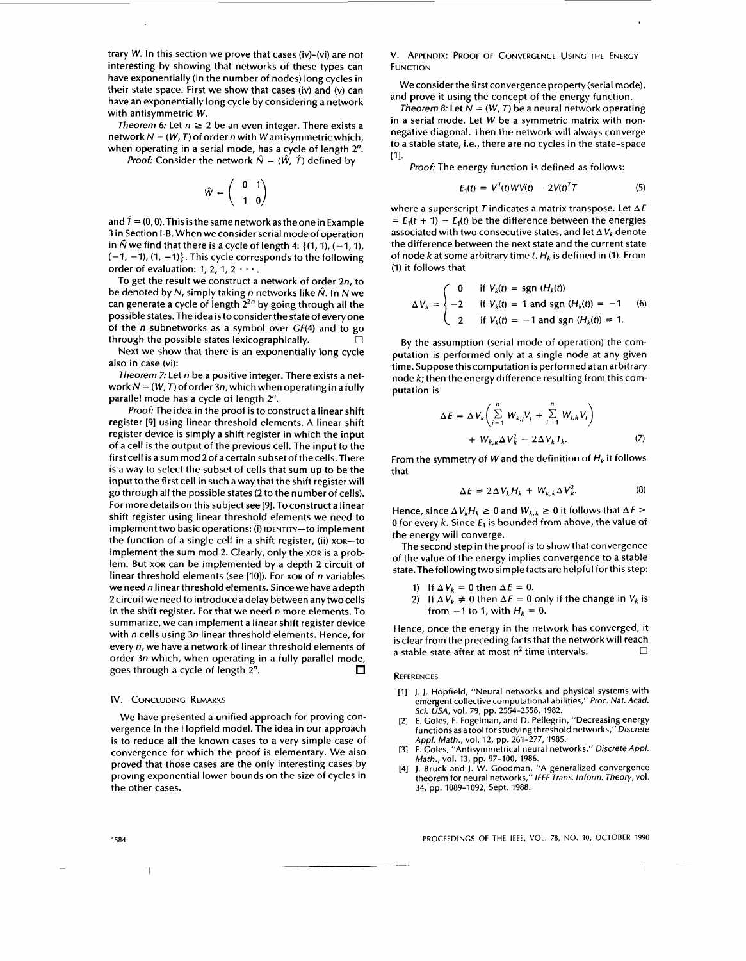trary  $W$ . In this section we prove that cases (iv)-(vi) are not interesting by showing that networks of these types can have exponentially (in the number of nodes) long cycles in their state space. First we show that cases (iv) and (v) can have an exponentially long cycle by considering a network with antisymmetric W.

Theorem 6: Let  $n \geq 2$  be an even integer. There exists a network  $N = (W, T)$  of order *n* with W antisymmetric which, when operating in a serial mode, has a cycle of length 2".

*Proof:* Consider the network  $\hat{N} = (\hat{W}, \hat{T})$  defined by

$$
\hat{W} = \begin{pmatrix} 0 & 1 \\ -1 & 0 \end{pmatrix}
$$

and  $\hat{T} = (0,0)$ . This is the same network as the one in Example **3** in Section I-B. When weconsider serial modeof operation in  $\hat{N}$  we find that there is a cycle of length 4:  $\{(1, 1), (-1, 1),$  $(-1, -1)$ ,  $(1, -1)$ . This cycle corresponds to the following order of evaluation: **1,** 2, **1,** 2 . \* **e.** 

To get the result we construct a network of order 2n, to be denoted by N, simply taking *n* networks like *fl.* In N we can generate a cycle of length  $2^{2n}$  by going through all the possible states. The idea is to consider the state of every one of the *n* subnetworks as a symbol over **GF(4)** and to go  $\Box$ through the possible states lexicographically.

Next we show that there is an exponentially long cycle also in case (vi):

Theorem 7: Let *n* be a positive integer. There exists a network  $N = (W, T)$  of order 3*n*, which when operating in a fully parallel mode has a cycle of length 2".

*Proof:* The idea in the proof is to construct *B* linear shift register [9] using linear threshold elements. A linear shift register device is simply a shift register in which the input of a cell is the output of the previous cell. The input to the firstcell isasum mod2ofacertain subsetofthecells.There is a way to select the subset of cells that sum up to be the input to the first cell in such away that the shift register will *go* through all the possible states *(2* to the number of cells). For more details on this subject see [9]. To construct a linear shift register using linear threshold elements we need to implement two basic operations: (i) IDENTITY-to implement the function of a single cell in a shift register, (ii) xoR-to implement the sum mod 2. Clearly, only the xor is a problem. But XOR can be implemented by a depth 2 circuit of linear threshold elements (see [10]). For xor of  $n$  variables we need *n* linear threshold elements. Since we have a depth 1) If  $\Delta V_k = 0$  then  $\Delta E = 0$ . 2 circuit we need to introduce a delay between any two cells 2) If  $\Delta V_k \neq 0$  then  $\Delta E = 0$  only if the change in  $V_k$  is in the shift register. For that we need *n* more elements. To from  $-1$  to 1, with  $H_k = 0$ . summarize, we can implement a linear shift register device with *n* cells using *3n* linear threshold elements. Hence, for every n, we have a network of linear threshold elements of order 3n which, when operating in a fully parallel mode, goes through a cycle of length **2".**  □

#### IV. CONCLUDING REMARKS

We have presented a unified approach for proving convergence in the Hopfield model. The idea in our approach is to reduce all the known cases to a very simple case of convergence for which the proof is elementary. We also proved that those cases are the only interesting cases by proving exponential lower bounds on the size of cycles in the other cases.

V. APPENDIX: PROOF **OF** CONVERGENCE USING THE ENERGY FUNCTION

We consider the first convergence property (serial mode), and prove it using the concept of the energy function.

Theorem 8: Let  $N = (W, T)$  be a neural network operating in a serial mode. Let W be a symmetric matrix with nonnegative diagonal. Then the network will always converge to a stable state, i.e., there are no cycles in the state-space  $[1]$ .

*Proof:* The energy function is defined as follows:

$$
E_1(t) = V^T(t)WV(t) - 2V(t)^T T
$$
\n(5)

where a superscript T indicates a matrix transpose. Let  $\Delta E$  $=$  E<sub>1</sub>(t + 1) - E<sub>1</sub>(t) be the difference between the energies associated with two consecutive states, and let  $\Delta V_k$  denote the difference between the next state and the current state of node k at some arbitrary time  $t$ .  $H_k$  is defined in (1). From (1) it follows that

$$
\Delta V_k = \begin{cases}\n0 & \text{if } V_k(t) = \text{sgn } (H_k(t)) \\
-2 & \text{if } V_k(t) = 1 \text{ and } \text{sgn } (H_k(t)) = -1 \\
2 & \text{if } V_k(t) = -1 \text{ and } \text{sgn } (H_k(t)) = 1.\n\end{cases}
$$
\n(6)

By the assumption (serial mode of operation) the computation is performed only at a single node at any given time. Suppose thiscomputation is performed at an arbitrary node k; then the energy difference resulting from this computation is

$$
\Delta E = \Delta V_k \left( \sum_{j=1}^n W_{k,j} V_j + \sum_{i=1}^n W_{i,k} V_i \right) + W_{k,k} \Delta V_k^2 - 2 \Delta V_k T_k.
$$
 (7)

From the symmetry of W and the definition of  $H_k$  it follows that

$$
\Delta E = 2\Delta V_k H_k + W_{k,k} \Delta V_k^2. \tag{8}
$$

Hence, since  $\Delta V_k H_k \geq 0$  and  $W_{k,k} \geq 0$  it follows that  $\Delta E \geq 0$ 0 for every k. Since  $E_1$  is bounded from above, the value of the energy will converge.

The second step in the proof is to show that convergence of the value of the energy implies convergence to a stable state. The following two simple facts are helpful for this step:

- 
- 

Hence, once the energy in the network has converged, it is clear from the preceding facts that the network will reach a stable state after at most  $n^2$  time intervals.

#### **REFERENCES**

- **[I] J. J. Hopfield, "Neural networks and physical systems with emergent collective computational abilities," froc.** *Nat.* **Acad.**  *Sci.* **USA, vol. 79, pp. 2554-2558, 1982.**
- **[2] E. Coles, F. Fogelman, and D. Pellegrin, "Decreasing energy functionsasatool for studying threshold networks,"Discrete**  *Appl.* **Math., vol. 12, pp. 261-277, 1985.**
- **[3] E. Coles, "Antisymmetrical neural networks," Discrete AppL Math., vol. 13, pp. 97-100, 1986.**
- **[4] J. Bruck and J. W. Goodman, "A generalized convergence theorem for neural networks," I€€€ Trans. Inform. Theory, vol. 34, pp. 1089-1092, Sept. 1988.**

**1584** PROCEEDINGS OF THE IEEE, VOL. 78, NO. 10, OCTOBER **1990** 

 $\mathbf{I}$